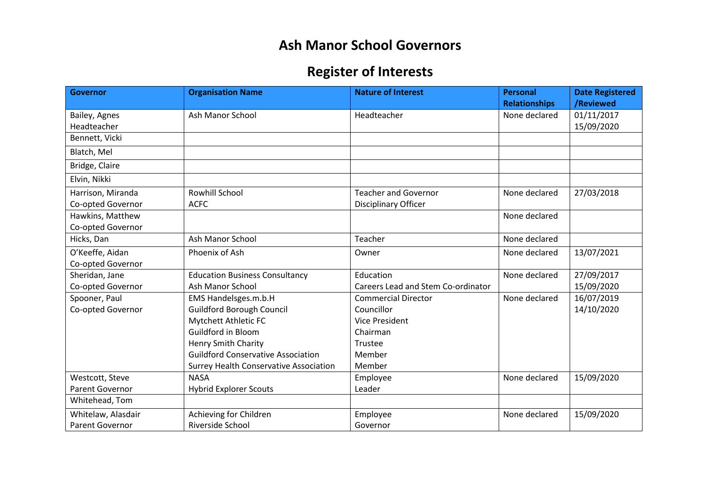## **Ash Manor School Governors**

## **Register of Interests**

| <b>Governor</b>        | <b>Organisation Name</b>                  | <b>Nature of Interest</b>          | <b>Personal</b>      | <b>Date Registered</b> |
|------------------------|-------------------------------------------|------------------------------------|----------------------|------------------------|
|                        |                                           |                                    | <b>Relationships</b> | /Reviewed              |
| Bailey, Agnes          | <b>Ash Manor School</b>                   | Headteacher                        | None declared        | 01/11/2017             |
| Headteacher            |                                           |                                    |                      | 15/09/2020             |
| Bennett, Vicki         |                                           |                                    |                      |                        |
| Blatch, Mel            |                                           |                                    |                      |                        |
| Bridge, Claire         |                                           |                                    |                      |                        |
| Elvin, Nikki           |                                           |                                    |                      |                        |
| Harrison, Miranda      | Rowhill School                            | <b>Teacher and Governor</b>        | None declared        | 27/03/2018             |
| Co-opted Governor      | <b>ACFC</b>                               | Disciplinary Officer               |                      |                        |
| Hawkins, Matthew       |                                           |                                    | None declared        |                        |
| Co-opted Governor      |                                           |                                    |                      |                        |
| Hicks, Dan             | <b>Ash Manor School</b>                   | Teacher                            | None declared        |                        |
| O'Keeffe, Aidan        | Phoenix of Ash                            | Owner                              | None declared        | 13/07/2021             |
| Co-opted Governor      |                                           |                                    |                      |                        |
| Sheridan, Jane         | <b>Education Business Consultancy</b>     | Education                          | None declared        | 27/09/2017             |
| Co-opted Governor      | <b>Ash Manor School</b>                   | Careers Lead and Stem Co-ordinator |                      | 15/09/2020             |
| Spooner, Paul          | EMS Handelsges.m.b.H                      | <b>Commercial Director</b>         | None declared        | 16/07/2019             |
| Co-opted Governor      | <b>Guildford Borough Council</b>          | Councillor                         |                      | 14/10/2020             |
|                        | Mytchett Athletic FC                      | <b>Vice President</b>              |                      |                        |
|                        | <b>Guildford in Bloom</b>                 | Chairman                           |                      |                        |
|                        | <b>Henry Smith Charity</b>                | Trustee                            |                      |                        |
|                        | <b>Guildford Conservative Association</b> | Member                             |                      |                        |
|                        | Surrey Health Conservative Association    | Member                             |                      |                        |
| Westcott, Steve        | <b>NASA</b>                               | Employee                           | None declared        | 15/09/2020             |
| Parent Governor        | <b>Hybrid Explorer Scouts</b>             | Leader                             |                      |                        |
| Whitehead, Tom         |                                           |                                    |                      |                        |
| Whitelaw, Alasdair     | Achieving for Children                    | Employee                           | None declared        | 15/09/2020             |
| <b>Parent Governor</b> | Riverside School                          | Governor                           |                      |                        |